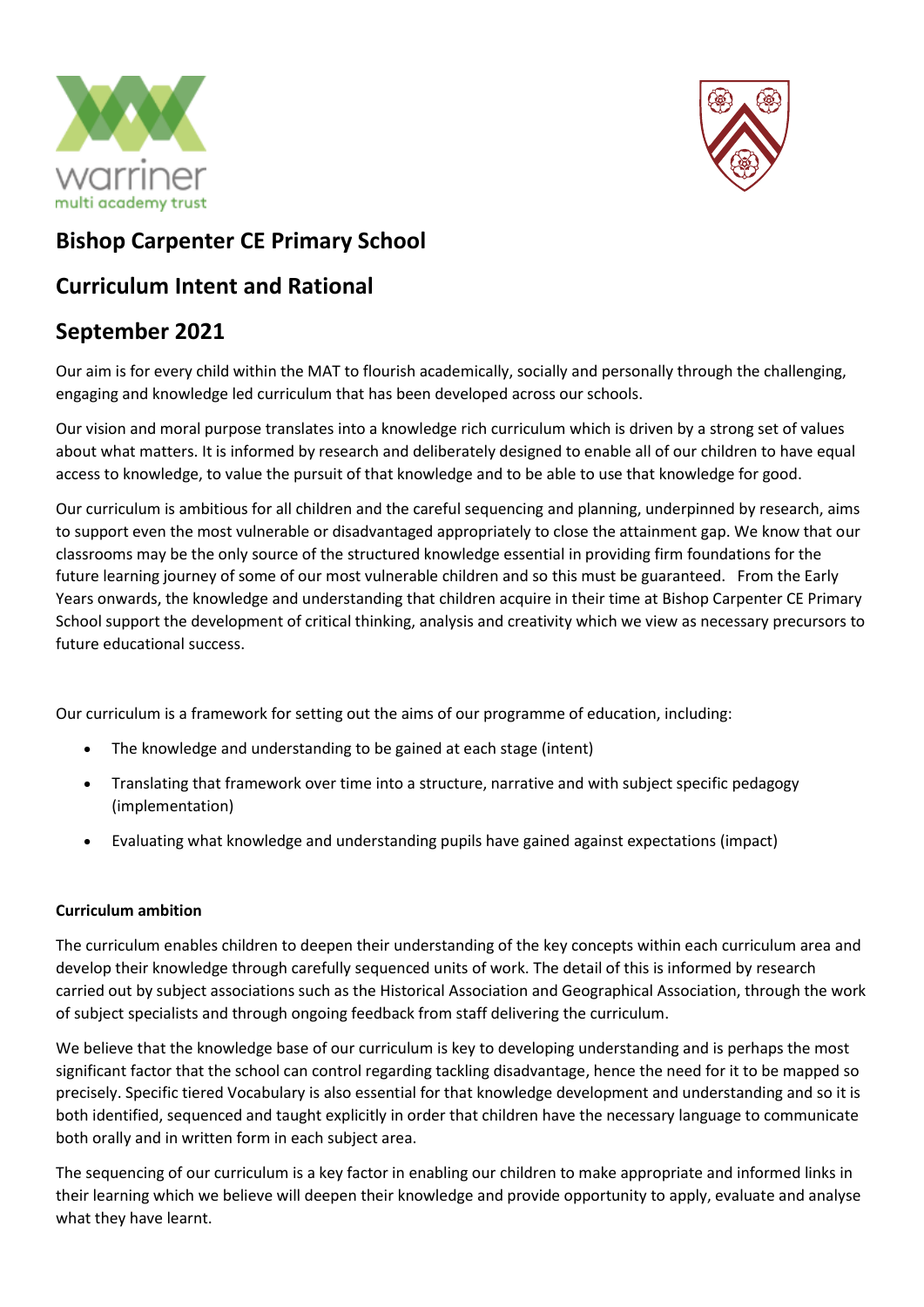



# **Bishop Carpenter CE Primary School**

## **Curriculum Intent and Rational**

## **September 2021**

Our aim is for every child within the MAT to flourish academically, socially and personally through the challenging, engaging and knowledge led curriculum that has been developed across our schools.

Our vision and moral purpose translates into a knowledge rich curriculum which is driven by a strong set of values about what matters. It is informed by research and deliberately designed to enable all of our children to have equal access to knowledge, to value the pursuit of that knowledge and to be able to use that knowledge for good.

Our curriculum is ambitious for all children and the careful sequencing and planning, underpinned by research, aims to support even the most vulnerable or disadvantaged appropriately to close the attainment gap. We know that our classrooms may be the only source of the structured knowledge essential in providing firm foundations for the future learning journey of some of our most vulnerable children and so this must be guaranteed. From the Early Years onwards, the knowledge and understanding that children acquire in their time at Bishop Carpenter CE Primary School support the development of critical thinking, analysis and creativity which we view as necessary precursors to future educational success.

Our curriculum is a framework for setting out the aims of our programme of education, including:

- The knowledge and understanding to be gained at each stage (intent)
- Translating that framework over time into a structure, narrative and with subject specific pedagogy (implementation)
- Evaluating what knowledge and understanding pupils have gained against expectations (impact)

### **Curriculum ambition**

The curriculum enables children to deepen their understanding of the key concepts within each curriculum area and develop their knowledge through carefully sequenced units of work. The detail of this is informed by research carried out by subject associations such as the Historical Association and Geographical Association, through the work of subject specialists and through ongoing feedback from staff delivering the curriculum.

We believe that the knowledge base of our curriculum is key to developing understanding and is perhaps the most significant factor that the school can control regarding tackling disadvantage, hence the need for it to be mapped so precisely. Specific tiered Vocabulary is also essential for that knowledge development and understanding and so it is both identified, sequenced and taught explicitly in order that children have the necessary language to communicate both orally and in written form in each subject area.

The sequencing of our curriculum is a key factor in enabling our children to make appropriate and informed links in their learning which we believe will deepen their knowledge and provide opportunity to apply, evaluate and analyse what they have learnt.